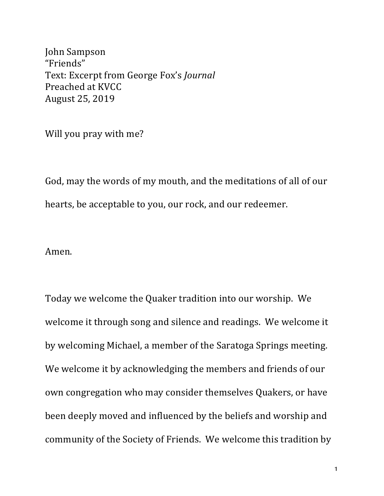John Sampson "Friends" Text: Excerpt from George Fox's *Journal* Preached at KVCC August 25, 2019

Will you pray with me?

God, may the words of my mouth, and the meditations of all of our hearts, be acceptable to you, our rock, and our redeemer.

Amen.

Today we welcome the Quaker tradition into our worship. We welcome it through song and silence and readings. We welcome it by welcoming Michael, a member of the Saratoga Springs meeting. We welcome it by acknowledging the members and friends of our own congregation who may consider themselves Quakers, or have been deeply moved and influenced by the beliefs and worship and community of the Society of Friends. We welcome this tradition by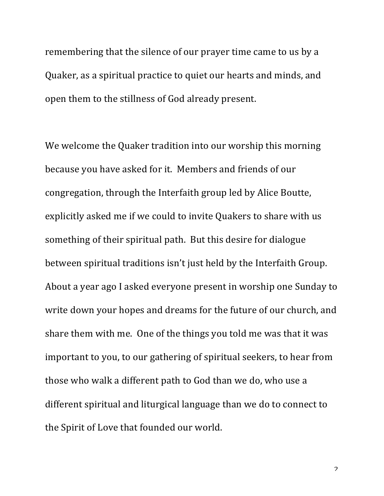remembering that the silence of our prayer time came to us by a Quaker, as a spiritual practice to quiet our hearts and minds, and open them to the stillness of God already present.

We welcome the Quaker tradition into our worship this morning because you have asked for it. Members and friends of our congregation, through the Interfaith group led by Alice Boutte, explicitly asked me if we could to invite Quakers to share with us something of their spiritual path. But this desire for dialogue between spiritual traditions isn't just held by the Interfaith Group. About a year ago I asked everyone present in worship one Sunday to write down your hopes and dreams for the future of our church, and share them with me. One of the things you told me was that it was important to you, to our gathering of spiritual seekers, to hear from those who walk a different path to God than we do, who use a different spiritual and liturgical language than we do to connect to the Spirit of Love that founded our world.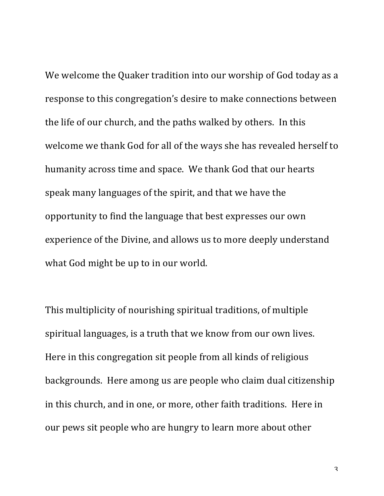We welcome the Quaker tradition into our worship of God today as a response to this congregation's desire to make connections between the life of our church, and the paths walked by others. In this welcome we thank God for all of the ways she has revealed herself to humanity across time and space. We thank God that our hearts speak many languages of the spirit, and that we have the opportunity to find the language that best expresses our own experience of the Divine, and allows us to more deeply understand what God might be up to in our world.

This multiplicity of nourishing spiritual traditions, of multiple spiritual languages, is a truth that we know from our own lives. Here in this congregation sit people from all kinds of religious backgrounds. Here among us are people who claim dual citizenship in this church, and in one, or more, other faith traditions. Here in our pews sit people who are hungry to learn more about other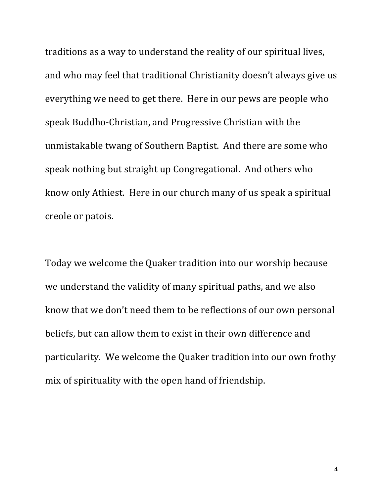traditions as a way to understand the reality of our spiritual lives, and who may feel that traditional Christianity doesn't always give us everything we need to get there. Here in our pews are people who speak Buddho-Christian, and Progressive Christian with the unmistakable twang of Southern Baptist. And there are some who speak nothing but straight up Congregational. And others who know only Athiest. Here in our church many of us speak a spiritual creole or patois.

Today we welcome the Quaker tradition into our worship because we understand the validity of many spiritual paths, and we also know that we don't need them to be reflections of our own personal beliefs, but can allow them to exist in their own difference and particularity. We welcome the Quaker tradition into our own frothy mix of spirituality with the open hand of friendship.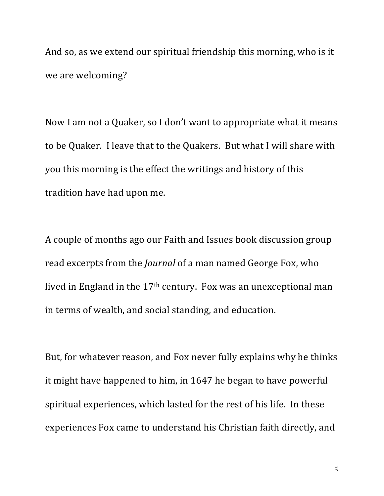And so, as we extend our spiritual friendship this morning, who is it we are welcoming?

Now I am not a Quaker, so I don't want to appropriate what it means to be Quaker. I leave that to the Quakers. But what I will share with you this morning is the effect the writings and history of this tradition have had upon me.

A couple of months ago our Faith and Issues book discussion group read excerpts from the *Journal* of a man named George Fox, who lived in England in the 17<sup>th</sup> century. Fox was an unexceptional man in terms of wealth, and social standing, and education.

But, for whatever reason, and Fox never fully explains why he thinks it might have happened to him, in 1647 he began to have powerful spiritual experiences, which lasted for the rest of his life. In these experiences Fox came to understand his Christian faith directly, and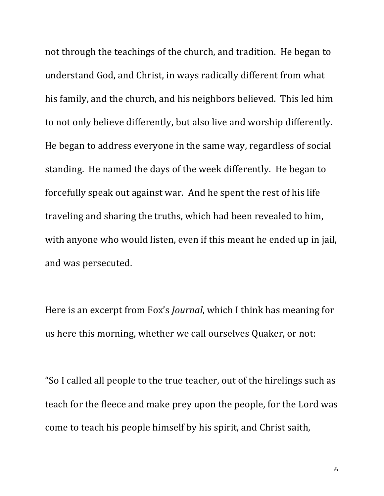not through the teachings of the church, and tradition. He began to understand God, and Christ, in ways radically different from what his family, and the church, and his neighbors believed. This led him to not only believe differently, but also live and worship differently. He began to address everyone in the same way, regardless of social standing. He named the days of the week differently. He began to forcefully speak out against war. And he spent the rest of his life traveling and sharing the truths, which had been revealed to him, with anyone who would listen, even if this meant he ended up in jail, and was persecuted.

Here is an excerpt from Fox's *Journal*, which I think has meaning for us here this morning, whether we call ourselves Quaker, or not:

"So I called all people to the true teacher, out of the hirelings such as teach for the fleece and make prey upon the people, for the Lord was come to teach his people himself by his spirit, and Christ saith,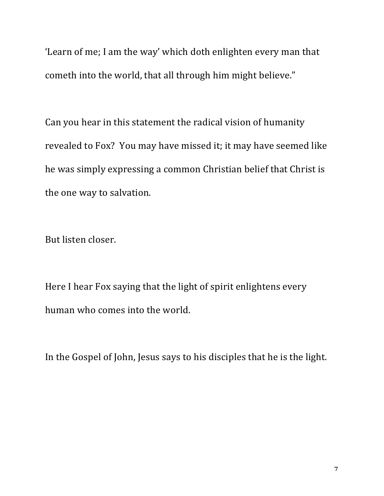'Learn of me; I am the way' which doth enlighten every man that cometh into the world, that all through him might believe."

Can you hear in this statement the radical vision of humanity revealed to Fox? You may have missed it; it may have seemed like he was simply expressing a common Christian belief that Christ is the one way to salvation.

But listen closer.

Here I hear Fox saying that the light of spirit enlightens every human who comes into the world.

In the Gospel of John, Jesus says to his disciples that he is the light.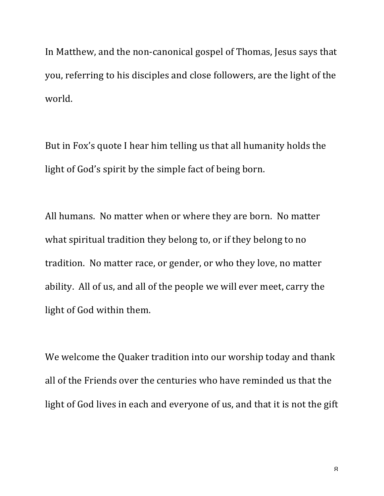In Matthew, and the non-canonical gospel of Thomas, Jesus says that you, referring to his disciples and close followers, are the light of the world.

But in Fox's quote I hear him telling us that all humanity holds the light of God's spirit by the simple fact of being born.

All humans. No matter when or where they are born. No matter what spiritual tradition they belong to, or if they belong to no tradition. No matter race, or gender, or who they love, no matter ability. All of us, and all of the people we will ever meet, carry the light of God within them.

We welcome the Quaker tradition into our worship today and thank all of the Friends over the centuries who have reminded us that the light of God lives in each and everyone of us, and that it is not the gift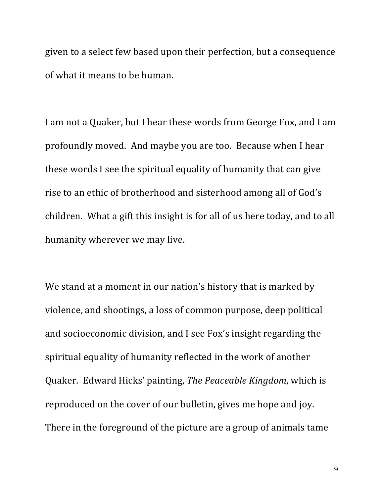given to a select few based upon their perfection, but a consequence of what it means to be human.

I am not a Quaker, but I hear these words from George Fox, and I am profoundly moved. And maybe you are too. Because when I hear these words I see the spiritual equality of humanity that can give rise to an ethic of brotherhood and sisterhood among all of God's children. What a gift this insight is for all of us here today, and to all humanity wherever we may live.

We stand at a moment in our nation's history that is marked by violence, and shootings, a loss of common purpose, deep political and socioeconomic division, and I see Fox's insight regarding the spiritual equality of humanity reflected in the work of another Quaker. Edward Hicks' painting, *The Peaceable Kingdom*, which is reproduced on the cover of our bulletin, gives me hope and joy. There in the foreground of the picture are a group of animals tame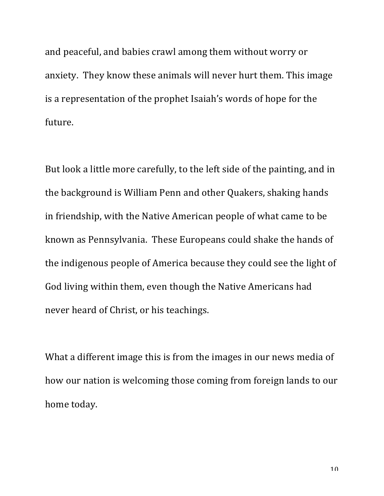and peaceful, and babies crawl among them without worry or anxiety. They know these animals will never hurt them. This image is a representation of the prophet Isaiah's words of hope for the future.

But look a little more carefully, to the left side of the painting, and in the background is William Penn and other Quakers, shaking hands in friendship, with the Native American people of what came to be known as Pennsylvania. These Europeans could shake the hands of the indigenous people of America because they could see the light of God living within them, even though the Native Americans had never heard of Christ, or his teachings.

What a different image this is from the images in our news media of how our nation is welcoming those coming from foreign lands to our home today.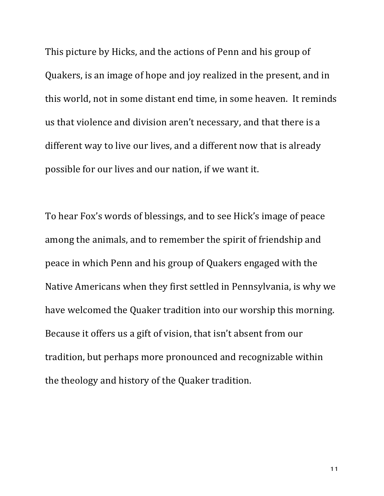This picture by Hicks, and the actions of Penn and his group of Quakers, is an image of hope and joy realized in the present, and in this world, not in some distant end time, in some heaven. It reminds us that violence and division aren't necessary, and that there is a different way to live our lives, and a different now that is already possible for our lives and our nation, if we want it.

To hear Fox's words of blessings, and to see Hick's image of peace among the animals, and to remember the spirit of friendship and peace in which Penn and his group of Quakers engaged with the Native Americans when they first settled in Pennsylvania, is why we have welcomed the Quaker tradition into our worship this morning. Because it offers us a gift of vision, that isn't absent from our tradition, but perhaps more pronounced and recognizable within the theology and history of the Quaker tradition.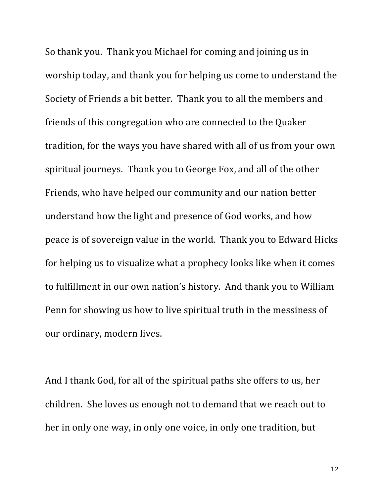So thank you. Thank you Michael for coming and joining us in worship today, and thank you for helping us come to understand the Society of Friends a bit better. Thank you to all the members and friends of this congregation who are connected to the Quaker tradition, for the ways you have shared with all of us from your own spiritual journeys. Thank you to George Fox, and all of the other Friends, who have helped our community and our nation better understand how the light and presence of God works, and how peace is of sovereign value in the world. Thank you to Edward Hicks for helping us to visualize what a prophecy looks like when it comes to fulfillment in our own nation's history. And thank you to William Penn for showing us how to live spiritual truth in the messiness of our ordinary, modern lives.

And I thank God, for all of the spiritual paths she offers to us, her children. She loves us enough not to demand that we reach out to her in only one way, in only one voice, in only one tradition, but